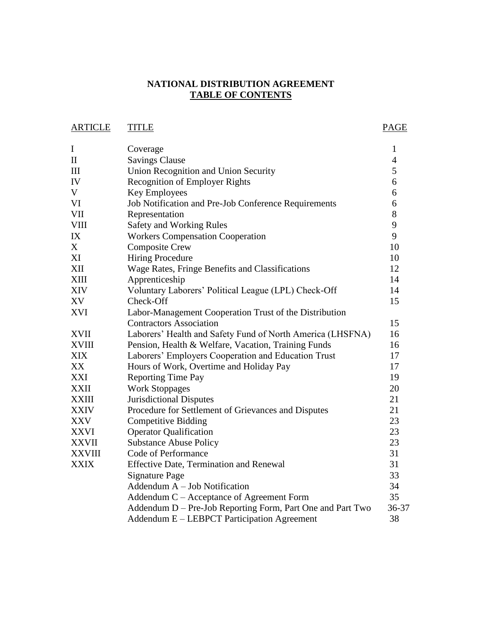## **NATIONAL DISTRIBUTION AGREEMENT TABLE OF CONTENTS**

ARTICLE TITLE PAGE

| $\mathbf I$   | Coverage                                                   | $\mathbf{1}$   |
|---------------|------------------------------------------------------------|----------------|
| $\mathbf{I}$  | <b>Savings Clause</b>                                      | $\overline{4}$ |
| III           | Union Recognition and Union Security                       | 5              |
| IV            | <b>Recognition of Employer Rights</b>                      | 6              |
| V             | Key Employees                                              | 6              |
| <b>VI</b>     | Job Notification and Pre-Job Conference Requirements       | 6              |
| <b>VII</b>    | Representation                                             | 8              |
| <b>VIII</b>   | Safety and Working Rules                                   | 9              |
| IX            | <b>Workers Compensation Cooperation</b>                    | 9              |
| X             | <b>Composite Crew</b>                                      | 10             |
| XI            | <b>Hiring Procedure</b>                                    | 10             |
| XII           | Wage Rates, Fringe Benefits and Classifications            | 12             |
| <b>XIII</b>   | Apprenticeship                                             | 14             |
| <b>XIV</b>    | Voluntary Laborers' Political League (LPL) Check-Off       | 14             |
| XV            | Check-Off                                                  | 15             |
| <b>XVI</b>    | Labor-Management Cooperation Trust of the Distribution     |                |
|               | <b>Contractors Association</b>                             | 15             |
| <b>XVII</b>   | Laborers' Health and Safety Fund of North America (LHSFNA) | 16             |
| <b>XVIII</b>  | Pension, Health & Welfare, Vacation, Training Funds        | 16             |
| <b>XIX</b>    | Laborers' Employers Cooperation and Education Trust        | 17             |
| XX            | Hours of Work, Overtime and Holiday Pay                    | 17             |
| XXI           | <b>Reporting Time Pay</b>                                  | 19             |
| <b>XXII</b>   | <b>Work Stoppages</b>                                      | 20             |
| <b>XXIII</b>  | <b>Jurisdictional Disputes</b>                             | 21             |
| <b>XXIV</b>   | Procedure for Settlement of Grievances and Disputes        | 21             |
| <b>XXV</b>    | <b>Competitive Bidding</b>                                 | 23             |
| <b>XXVI</b>   | <b>Operator Qualification</b>                              | 23             |
| <b>XXVII</b>  | <b>Substance Abuse Policy</b>                              | 23             |
| <b>XXVIII</b> | Code of Performance                                        | 31             |
| <b>XXIX</b>   | Effective Date, Termination and Renewal                    | 31             |
|               | <b>Signature Page</b>                                      | 33             |
|               | Addendum $A - Job$ Notification                            | 34             |
|               | Addendum C – Acceptance of Agreement Form                  | 35             |
|               | Addendum D – Pre-Job Reporting Form, Part One and Part Two | 36-37          |
|               | Addendum E – LEBPCT Participation Agreement                | 38             |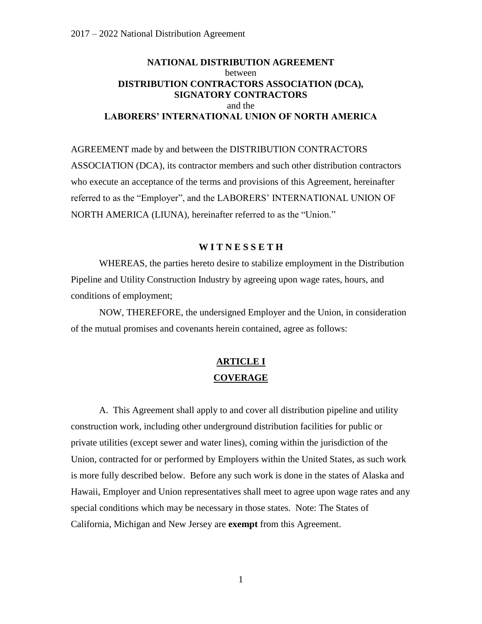## **NATIONAL DISTRIBUTION AGREEMENT** between **DISTRIBUTION CONTRACTORS ASSOCIATION (DCA), SIGNATORY CONTRACTORS** and the **LABORERS' INTERNATIONAL UNION OF NORTH AMERICA**

AGREEMENT made by and between the DISTRIBUTION CONTRACTORS ASSOCIATION (DCA), its contractor members and such other distribution contractors who execute an acceptance of the terms and provisions of this Agreement, hereinafter referred to as the "Employer", and the LABORERS' INTERNATIONAL UNION OF NORTH AMERICA (LIUNA), hereinafter referred to as the "Union."

### **W I T N E S S E T H**

WHEREAS, the parties hereto desire to stabilize employment in the Distribution Pipeline and Utility Construction Industry by agreeing upon wage rates, hours, and conditions of employment;

NOW, THEREFORE, the undersigned Employer and the Union, in consideration of the mutual promises and covenants herein contained, agree as follows:

# **ARTICLE I COVERAGE**

A. This Agreement shall apply to and cover all distribution pipeline and utility construction work, including other underground distribution facilities for public or private utilities (except sewer and water lines), coming within the jurisdiction of the Union, contracted for or performed by Employers within the United States, as such work is more fully described below. Before any such work is done in the states of Alaska and Hawaii, Employer and Union representatives shall meet to agree upon wage rates and any special conditions which may be necessary in those states. Note: The States of California, Michigan and New Jersey are **exempt** from this Agreement.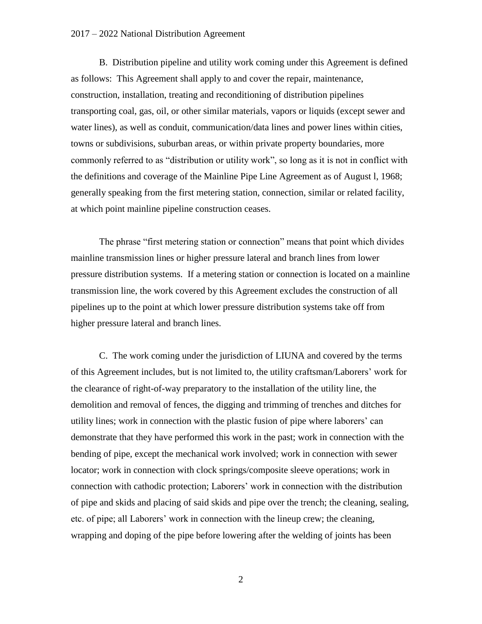#### 2017 – 2022 National Distribution Agreement

B. Distribution pipeline and utility work coming under this Agreement is defined as follows: This Agreement shall apply to and cover the repair, maintenance, construction, installation, treating and reconditioning of distribution pipelines transporting coal, gas, oil, or other similar materials, vapors or liquids (except sewer and water lines), as well as conduit, communication/data lines and power lines within cities, towns or subdivisions, suburban areas, or within private property boundaries, more commonly referred to as "distribution or utility work", so long as it is not in conflict with the definitions and coverage of the Mainline Pipe Line Agreement as of August l, 1968; generally speaking from the first metering station, connection, similar or related facility, at which point mainline pipeline construction ceases.

The phrase "first metering station or connection" means that point which divides mainline transmission lines or higher pressure lateral and branch lines from lower pressure distribution systems. If a metering station or connection is located on a mainline transmission line, the work covered by this Agreement excludes the construction of all pipelines up to the point at which lower pressure distribution systems take off from higher pressure lateral and branch lines.

C. The work coming under the jurisdiction of LIUNA and covered by the terms of this Agreement includes, but is not limited to, the utility craftsman/Laborers' work for the clearance of right-of-way preparatory to the installation of the utility line, the demolition and removal of fences, the digging and trimming of trenches and ditches for utility lines; work in connection with the plastic fusion of pipe where laborers' can demonstrate that they have performed this work in the past; work in connection with the bending of pipe, except the mechanical work involved; work in connection with sewer locator; work in connection with clock springs/composite sleeve operations; work in connection with cathodic protection; Laborers' work in connection with the distribution of pipe and skids and placing of said skids and pipe over the trench; the cleaning, sealing, etc. of pipe; all Laborers' work in connection with the lineup crew; the cleaning, wrapping and doping of the pipe before lowering after the welding of joints has been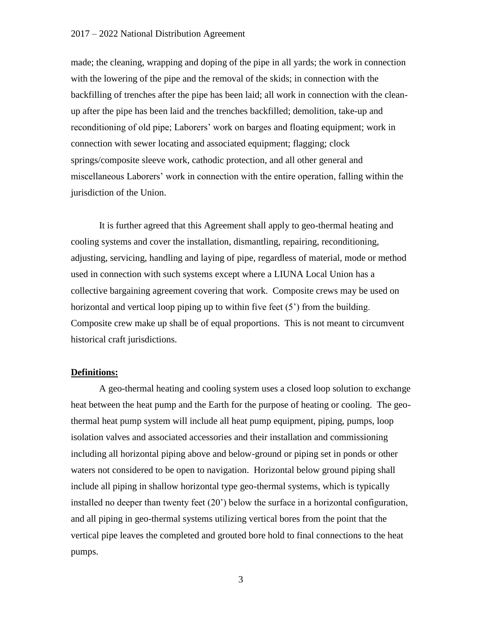### 2017 – 2022 National Distribution Agreement

made; the cleaning, wrapping and doping of the pipe in all yards; the work in connection with the lowering of the pipe and the removal of the skids; in connection with the backfilling of trenches after the pipe has been laid; all work in connection with the cleanup after the pipe has been laid and the trenches backfilled; demolition, take-up and reconditioning of old pipe; Laborers' work on barges and floating equipment; work in connection with sewer locating and associated equipment; flagging; clock springs/composite sleeve work, cathodic protection, and all other general and miscellaneous Laborers' work in connection with the entire operation, falling within the jurisdiction of the Union.

It is further agreed that this Agreement shall apply to geo-thermal heating and cooling systems and cover the installation, dismantling, repairing, reconditioning, adjusting, servicing, handling and laying of pipe, regardless of material, mode or method used in connection with such systems except where a LIUNA Local Union has a collective bargaining agreement covering that work. Composite crews may be used on horizontal and vertical loop piping up to within five feet (5<sup>o</sup>) from the building. Composite crew make up shall be of equal proportions. This is not meant to circumvent historical craft jurisdictions.

### **Definitions:**

A geo-thermal heating and cooling system uses a closed loop solution to exchange heat between the heat pump and the Earth for the purpose of heating or cooling. The geothermal heat pump system will include all heat pump equipment, piping, pumps, loop isolation valves and associated accessories and their installation and commissioning including all horizontal piping above and below-ground or piping set in ponds or other waters not considered to be open to navigation. Horizontal below ground piping shall include all piping in shallow horizontal type geo-thermal systems, which is typically installed no deeper than twenty feet (20') below the surface in a horizontal configuration, and all piping in geo-thermal systems utilizing vertical bores from the point that the vertical pipe leaves the completed and grouted bore hold to final connections to the heat pumps.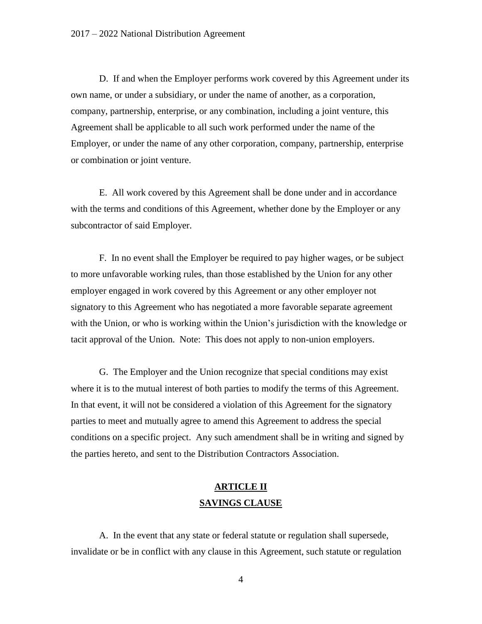D. If and when the Employer performs work covered by this Agreement under its own name, or under a subsidiary, or under the name of another, as a corporation, company, partnership, enterprise, or any combination, including a joint venture, this Agreement shall be applicable to all such work performed under the name of the Employer, or under the name of any other corporation, company, partnership, enterprise or combination or joint venture.

E. All work covered by this Agreement shall be done under and in accordance with the terms and conditions of this Agreement, whether done by the Employer or any subcontractor of said Employer.

F. In no event shall the Employer be required to pay higher wages, or be subject to more unfavorable working rules, than those established by the Union for any other employer engaged in work covered by this Agreement or any other employer not signatory to this Agreement who has negotiated a more favorable separate agreement with the Union, or who is working within the Union's jurisdiction with the knowledge or tacit approval of the Union. Note: This does not apply to non-union employers.

G. The Employer and the Union recognize that special conditions may exist where it is to the mutual interest of both parties to modify the terms of this Agreement. In that event, it will not be considered a violation of this Agreement for the signatory parties to meet and mutually agree to amend this Agreement to address the special conditions on a specific project. Any such amendment shall be in writing and signed by the parties hereto, and sent to the Distribution Contractors Association.

## **ARTICLE II SAVINGS CLAUSE**

A. In the event that any state or federal statute or regulation shall supersede, invalidate or be in conflict with any clause in this Agreement, such statute or regulation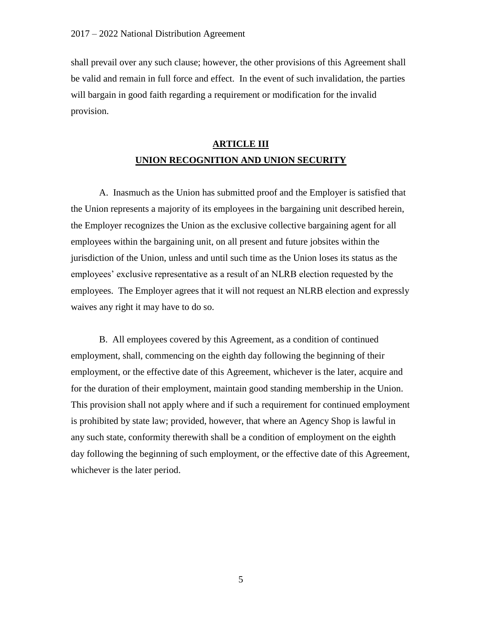shall prevail over any such clause; however, the other provisions of this Agreement shall be valid and remain in full force and effect. In the event of such invalidation, the parties will bargain in good faith regarding a requirement or modification for the invalid provision.

# **ARTICLE III UNION RECOGNITION AND UNION SECURITY**

A. Inasmuch as the Union has submitted proof and the Employer is satisfied that the Union represents a majority of its employees in the bargaining unit described herein, the Employer recognizes the Union as the exclusive collective bargaining agent for all employees within the bargaining unit, on all present and future jobsites within the jurisdiction of the Union, unless and until such time as the Union loses its status as the employees' exclusive representative as a result of an NLRB election requested by the employees. The Employer agrees that it will not request an NLRB election and expressly waives any right it may have to do so.

B. All employees covered by this Agreement, as a condition of continued employment, shall, commencing on the eighth day following the beginning of their employment, or the effective date of this Agreement, whichever is the later, acquire and for the duration of their employment, maintain good standing membership in the Union. This provision shall not apply where and if such a requirement for continued employment is prohibited by state law; provided, however, that where an Agency Shop is lawful in any such state, conformity therewith shall be a condition of employment on the eighth day following the beginning of such employment, or the effective date of this Agreement, whichever is the later period.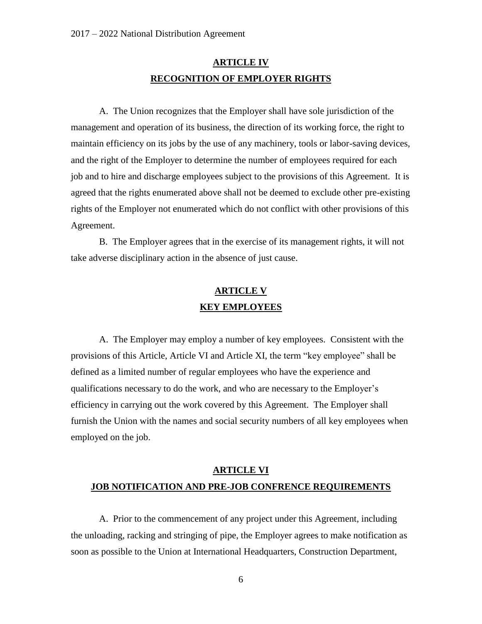## **ARTICLE IV RECOGNITION OF EMPLOYER RIGHTS**

A. The Union recognizes that the Employer shall have sole jurisdiction of the management and operation of its business, the direction of its working force, the right to maintain efficiency on its jobs by the use of any machinery, tools or labor-saving devices, and the right of the Employer to determine the number of employees required for each job and to hire and discharge employees subject to the provisions of this Agreement. It is agreed that the rights enumerated above shall not be deemed to exclude other pre-existing rights of the Employer not enumerated which do not conflict with other provisions of this Agreement.

B. The Employer agrees that in the exercise of its management rights, it will not take adverse disciplinary action in the absence of just cause.

# **ARTICLE V KEY EMPLOYEES**

A. The Employer may employ a number of key employees. Consistent with the provisions of this Article, Article VI and Article XI, the term "key employee" shall be defined as a limited number of regular employees who have the experience and qualifications necessary to do the work, and who are necessary to the Employer's efficiency in carrying out the work covered by this Agreement. The Employer shall furnish the Union with the names and social security numbers of all key employees when employed on the job.

# **ARTICLE VI JOB NOTIFICATION AND PRE-JOB CONFRENCE REQUIREMENTS**

A. Prior to the commencement of any project under this Agreement, including the unloading, racking and stringing of pipe, the Employer agrees to make notification as soon as possible to the Union at International Headquarters, Construction Department,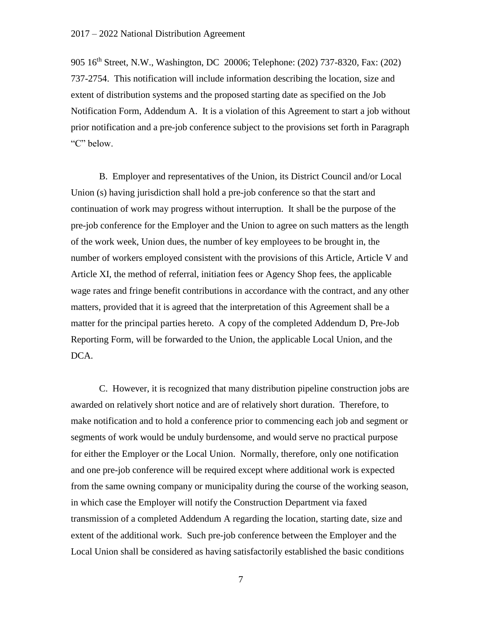905 16th Street, N.W., Washington, DC 20006; Telephone: (202) 737-8320, Fax: (202) 737-2754. This notification will include information describing the location, size and extent of distribution systems and the proposed starting date as specified on the Job Notification Form, Addendum A. It is a violation of this Agreement to start a job without prior notification and a pre-job conference subject to the provisions set forth in Paragraph "C" below.

B. Employer and representatives of the Union, its District Council and/or Local Union (s) having jurisdiction shall hold a pre-job conference so that the start and continuation of work may progress without interruption. It shall be the purpose of the pre-job conference for the Employer and the Union to agree on such matters as the length of the work week, Union dues, the number of key employees to be brought in, the number of workers employed consistent with the provisions of this Article, Article V and Article XI, the method of referral, initiation fees or Agency Shop fees, the applicable wage rates and fringe benefit contributions in accordance with the contract, and any other matters, provided that it is agreed that the interpretation of this Agreement shall be a matter for the principal parties hereto. A copy of the completed Addendum D, Pre-Job Reporting Form, will be forwarded to the Union, the applicable Local Union, and the DCA.

C. However, it is recognized that many distribution pipeline construction jobs are awarded on relatively short notice and are of relatively short duration. Therefore, to make notification and to hold a conference prior to commencing each job and segment or segments of work would be unduly burdensome, and would serve no practical purpose for either the Employer or the Local Union. Normally, therefore, only one notification and one pre-job conference will be required except where additional work is expected from the same owning company or municipality during the course of the working season, in which case the Employer will notify the Construction Department via faxed transmission of a completed Addendum A regarding the location, starting date, size and extent of the additional work. Such pre-job conference between the Employer and the Local Union shall be considered as having satisfactorily established the basic conditions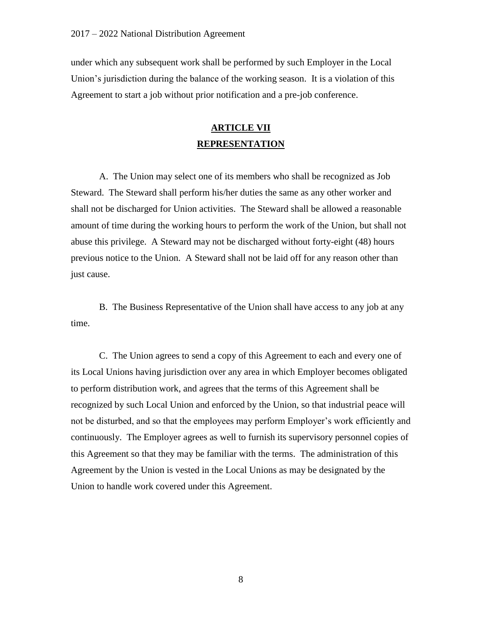under which any subsequent work shall be performed by such Employer in the Local Union's jurisdiction during the balance of the working season. It is a violation of this Agreement to start a job without prior notification and a pre-job conference.

## **ARTICLE VII REPRESENTATION**

A. The Union may select one of its members who shall be recognized as Job Steward. The Steward shall perform his/her duties the same as any other worker and shall not be discharged for Union activities. The Steward shall be allowed a reasonable amount of time during the working hours to perform the work of the Union, but shall not abuse this privilege. A Steward may not be discharged without forty-eight (48) hours previous notice to the Union. A Steward shall not be laid off for any reason other than just cause.

B. The Business Representative of the Union shall have access to any job at any time.

C. The Union agrees to send a copy of this Agreement to each and every one of its Local Unions having jurisdiction over any area in which Employer becomes obligated to perform distribution work, and agrees that the terms of this Agreement shall be recognized by such Local Union and enforced by the Union, so that industrial peace will not be disturbed, and so that the employees may perform Employer's work efficiently and continuously. The Employer agrees as well to furnish its supervisory personnel copies of this Agreement so that they may be familiar with the terms. The administration of this Agreement by the Union is vested in the Local Unions as may be designated by the Union to handle work covered under this Agreement.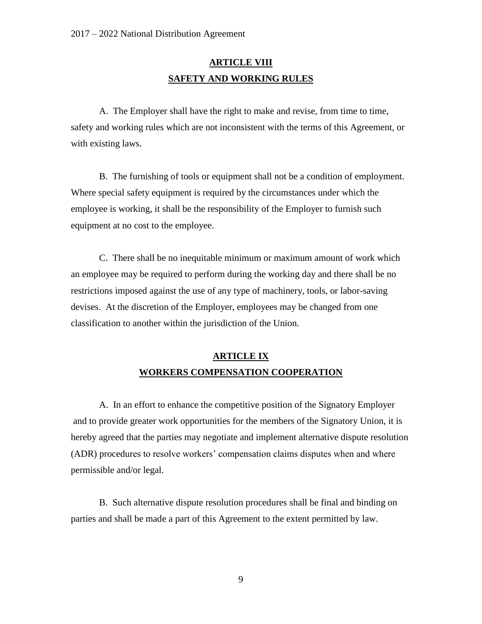# **ARTICLE VIII SAFETY AND WORKING RULES**

A. The Employer shall have the right to make and revise, from time to time, safety and working rules which are not inconsistent with the terms of this Agreement, or with existing laws.

B. The furnishing of tools or equipment shall not be a condition of employment. Where special safety equipment is required by the circumstances under which the employee is working, it shall be the responsibility of the Employer to furnish such equipment at no cost to the employee.

C. There shall be no inequitable minimum or maximum amount of work which an employee may be required to perform during the working day and there shall be no restrictions imposed against the use of any type of machinery, tools, or labor-saving devises. At the discretion of the Employer, employees may be changed from one classification to another within the jurisdiction of the Union.

## **ARTICLE IX WORKERS COMPENSATION COOPERATION**

A. In an effort to enhance the competitive position of the Signatory Employer and to provide greater work opportunities for the members of the Signatory Union, it is hereby agreed that the parties may negotiate and implement alternative dispute resolution (ADR) procedures to resolve workers' compensation claims disputes when and where permissible and/or legal.

B. Such alternative dispute resolution procedures shall be final and binding on parties and shall be made a part of this Agreement to the extent permitted by law.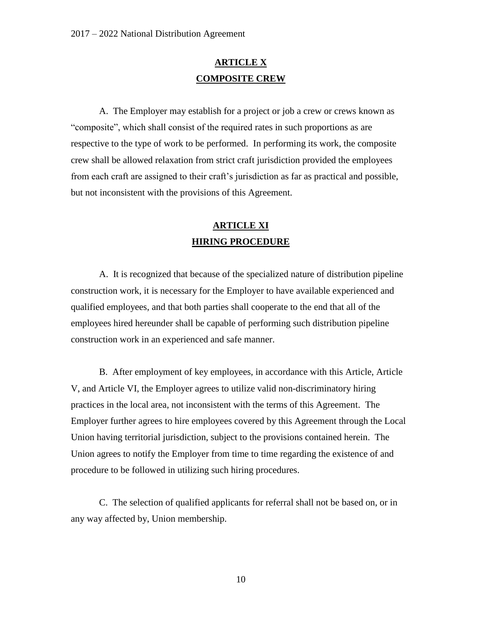## **ARTICLE X COMPOSITE CREW**

A. The Employer may establish for a project or job a crew or crews known as "composite", which shall consist of the required rates in such proportions as are respective to the type of work to be performed. In performing its work, the composite crew shall be allowed relaxation from strict craft jurisdiction provided the employees from each craft are assigned to their craft's jurisdiction as far as practical and possible, but not inconsistent with the provisions of this Agreement.

# **ARTICLE XI HIRING PROCEDURE**

A. It is recognized that because of the specialized nature of distribution pipeline construction work, it is necessary for the Employer to have available experienced and qualified employees, and that both parties shall cooperate to the end that all of the employees hired hereunder shall be capable of performing such distribution pipeline construction work in an experienced and safe manner.

B. After employment of key employees, in accordance with this Article, Article V, and Article VI, the Employer agrees to utilize valid non-discriminatory hiring practices in the local area, not inconsistent with the terms of this Agreement. The Employer further agrees to hire employees covered by this Agreement through the Local Union having territorial jurisdiction, subject to the provisions contained herein. The Union agrees to notify the Employer from time to time regarding the existence of and procedure to be followed in utilizing such hiring procedures.

C. The selection of qualified applicants for referral shall not be based on, or in any way affected by, Union membership.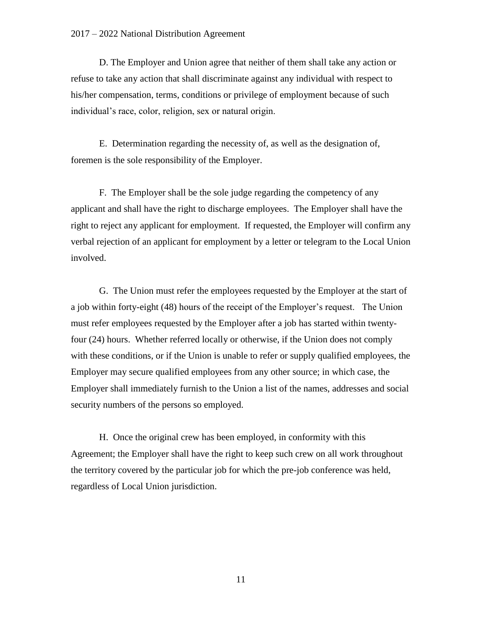#### 2017 – 2022 National Distribution Agreement

D. The Employer and Union agree that neither of them shall take any action or refuse to take any action that shall discriminate against any individual with respect to his/her compensation, terms, conditions or privilege of employment because of such individual's race, color, religion, sex or natural origin.

E. Determination regarding the necessity of, as well as the designation of, foremen is the sole responsibility of the Employer.

F. The Employer shall be the sole judge regarding the competency of any applicant and shall have the right to discharge employees. The Employer shall have the right to reject any applicant for employment. If requested, the Employer will confirm any verbal rejection of an applicant for employment by a letter or telegram to the Local Union involved.

G. The Union must refer the employees requested by the Employer at the start of a job within forty-eight (48) hours of the receipt of the Employer's request. The Union must refer employees requested by the Employer after a job has started within twentyfour (24) hours. Whether referred locally or otherwise, if the Union does not comply with these conditions, or if the Union is unable to refer or supply qualified employees, the Employer may secure qualified employees from any other source; in which case, the Employer shall immediately furnish to the Union a list of the names, addresses and social security numbers of the persons so employed.

H. Once the original crew has been employed, in conformity with this Agreement; the Employer shall have the right to keep such crew on all work throughout the territory covered by the particular job for which the pre-job conference was held, regardless of Local Union jurisdiction.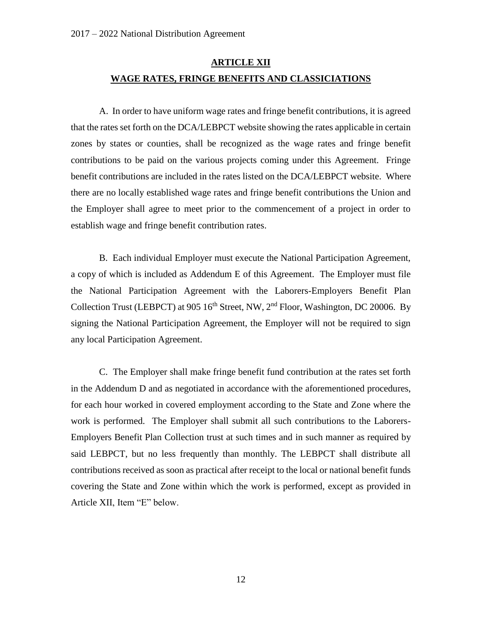# **ARTICLE XII WAGE RATES, FRINGE BENEFITS AND CLASSICIATIONS**

A. In order to have uniform wage rates and fringe benefit contributions, it is agreed that the rates set forth on the DCA/LEBPCT website showing the rates applicable in certain zones by states or counties, shall be recognized as the wage rates and fringe benefit contributions to be paid on the various projects coming under this Agreement. Fringe benefit contributions are included in the rates listed on the DCA/LEBPCT website. Where there are no locally established wage rates and fringe benefit contributions the Union and the Employer shall agree to meet prior to the commencement of a project in order to establish wage and fringe benefit contribution rates.

B. Each individual Employer must execute the National Participation Agreement, a copy of which is included as Addendum E of this Agreement. The Employer must file the National Participation Agreement with the Laborers-Employers Benefit Plan Collection Trust (LEBPCT) at 905 16<sup>th</sup> Street, NW, 2<sup>nd</sup> Floor, Washington, DC 20006. By signing the National Participation Agreement, the Employer will not be required to sign any local Participation Agreement.

C. The Employer shall make fringe benefit fund contribution at the rates set forth in the Addendum D and as negotiated in accordance with the aforementioned procedures, for each hour worked in covered employment according to the State and Zone where the work is performed. The Employer shall submit all such contributions to the Laborers-Employers Benefit Plan Collection trust at such times and in such manner as required by said LEBPCT, but no less frequently than monthly. The LEBPCT shall distribute all contributions received as soon as practical after receipt to the local or national benefit funds covering the State and Zone within which the work is performed, except as provided in Article XII, Item "E" below.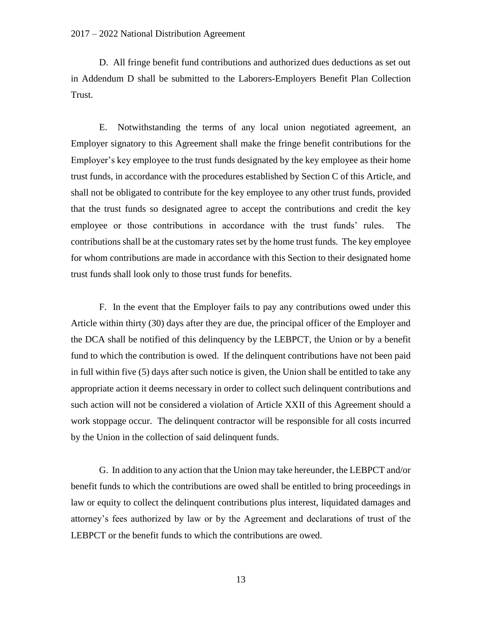#### 2017 – 2022 National Distribution Agreement

D. All fringe benefit fund contributions and authorized dues deductions as set out in Addendum D shall be submitted to the Laborers-Employers Benefit Plan Collection Trust.

E. Notwithstanding the terms of any local union negotiated agreement, an Employer signatory to this Agreement shall make the fringe benefit contributions for the Employer's key employee to the trust funds designated by the key employee as their home trust funds, in accordance with the procedures established by Section C of this Article, and shall not be obligated to contribute for the key employee to any other trust funds, provided that the trust funds so designated agree to accept the contributions and credit the key employee or those contributions in accordance with the trust funds' rules. The contributions shall be at the customary rates set by the home trust funds. The key employee for whom contributions are made in accordance with this Section to their designated home trust funds shall look only to those trust funds for benefits.

F. In the event that the Employer fails to pay any contributions owed under this Article within thirty (30) days after they are due, the principal officer of the Employer and the DCA shall be notified of this delinquency by the LEBPCT, the Union or by a benefit fund to which the contribution is owed. If the delinquent contributions have not been paid in full within five (5) days after such notice is given, the Union shall be entitled to take any appropriate action it deems necessary in order to collect such delinquent contributions and such action will not be considered a violation of Article XXII of this Agreement should a work stoppage occur. The delinquent contractor will be responsible for all costs incurred by the Union in the collection of said delinquent funds.

G. In addition to any action that the Union may take hereunder, the LEBPCT and/or benefit funds to which the contributions are owed shall be entitled to bring proceedings in law or equity to collect the delinquent contributions plus interest, liquidated damages and attorney's fees authorized by law or by the Agreement and declarations of trust of the LEBPCT or the benefit funds to which the contributions are owed.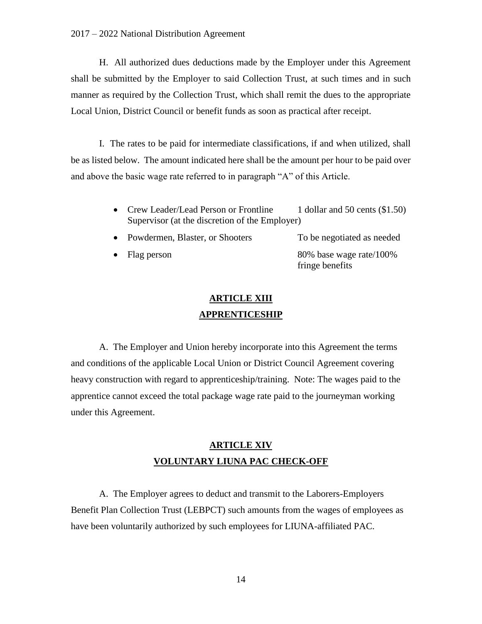H. All authorized dues deductions made by the Employer under this Agreement shall be submitted by the Employer to said Collection Trust, at such times and in such manner as required by the Collection Trust, which shall remit the dues to the appropriate Local Union, District Council or benefit funds as soon as practical after receipt.

I. The rates to be paid for intermediate classifications, if and when utilized, shall be as listed below. The amount indicated here shall be the amount per hour to be paid over and above the basic wage rate referred to in paragraph "A" of this Article.

- Crew Leader/Lead Person or Frontline 1 dollar and 50 cents (\$1.50) Supervisor (at the discretion of the Employer)
- Powdermen, Blaster, or Shooters To be negotiated as needed
- 

Flag person 80% base wage rate/100% fringe benefits

# **ARTICLE XIII APPRENTICESHIP**

A. The Employer and Union hereby incorporate into this Agreement the terms and conditions of the applicable Local Union or District Council Agreement covering heavy construction with regard to apprenticeship/training. Note: The wages paid to the apprentice cannot exceed the total package wage rate paid to the journeyman working under this Agreement.

# **ARTICLE XIV VOLUNTARY LIUNA PAC CHECK-OFF**

A. The Employer agrees to deduct and transmit to the Laborers-Employers Benefit Plan Collection Trust (LEBPCT) such amounts from the wages of employees as have been voluntarily authorized by such employees for LIUNA-affiliated PAC.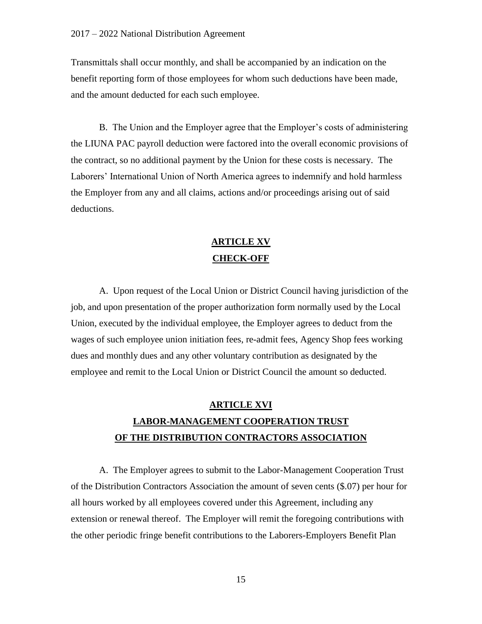Transmittals shall occur monthly, and shall be accompanied by an indication on the benefit reporting form of those employees for whom such deductions have been made, and the amount deducted for each such employee.

B. The Union and the Employer agree that the Employer's costs of administering the LIUNA PAC payroll deduction were factored into the overall economic provisions of the contract, so no additional payment by the Union for these costs is necessary. The Laborers' International Union of North America agrees to indemnify and hold harmless the Employer from any and all claims, actions and/or proceedings arising out of said deductions.

# **ARTICLE XV CHECK-OFF**

A. Upon request of the Local Union or District Council having jurisdiction of the job, and upon presentation of the proper authorization form normally used by the Local Union, executed by the individual employee, the Employer agrees to deduct from the wages of such employee union initiation fees, re-admit fees, Agency Shop fees working dues and monthly dues and any other voluntary contribution as designated by the employee and remit to the Local Union or District Council the amount so deducted.

# **ARTICLE XVI LABOR-MANAGEMENT COOPERATION TRUST OF THE DISTRIBUTION CONTRACTORS ASSOCIATION**

A. The Employer agrees to submit to the Labor-Management Cooperation Trust of the Distribution Contractors Association the amount of seven cents (\$.07) per hour for all hours worked by all employees covered under this Agreement, including any extension or renewal thereof. The Employer will remit the foregoing contributions with the other periodic fringe benefit contributions to the Laborers-Employers Benefit Plan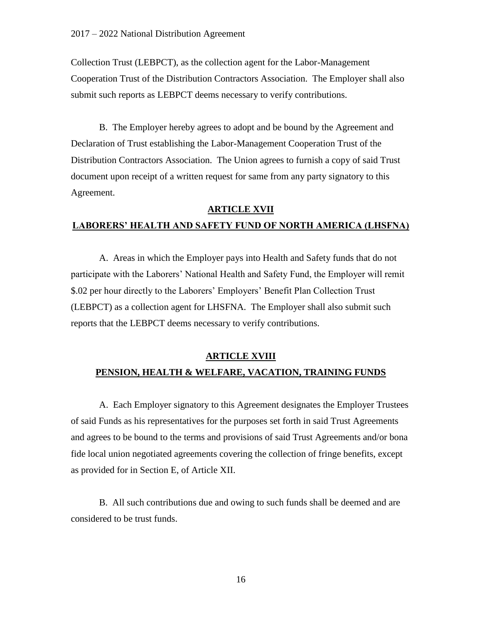Collection Trust (LEBPCT), as the collection agent for the Labor-Management Cooperation Trust of the Distribution Contractors Association. The Employer shall also submit such reports as LEBPCT deems necessary to verify contributions.

B. The Employer hereby agrees to adopt and be bound by the Agreement and Declaration of Trust establishing the Labor-Management Cooperation Trust of the Distribution Contractors Association. The Union agrees to furnish a copy of said Trust document upon receipt of a written request for same from any party signatory to this Agreement.

### **ARTICLE XVII**

## **LABORERS' HEALTH AND SAFETY FUND OF NORTH AMERICA (LHSFNA)**

A. Areas in which the Employer pays into Health and Safety funds that do not participate with the Laborers' National Health and Safety Fund, the Employer will remit \$.02 per hour directly to the Laborers' Employers' Benefit Plan Collection Trust (LEBPCT) as a collection agent for LHSFNA. The Employer shall also submit such reports that the LEBPCT deems necessary to verify contributions.

### **ARTICLE XVIII**

### **PENSION, HEALTH & WELFARE, VACATION, TRAINING FUNDS**

A. Each Employer signatory to this Agreement designates the Employer Trustees of said Funds as his representatives for the purposes set forth in said Trust Agreements and agrees to be bound to the terms and provisions of said Trust Agreements and/or bona fide local union negotiated agreements covering the collection of fringe benefits, except as provided for in Section E, of Article XII.

B. All such contributions due and owing to such funds shall be deemed and are considered to be trust funds.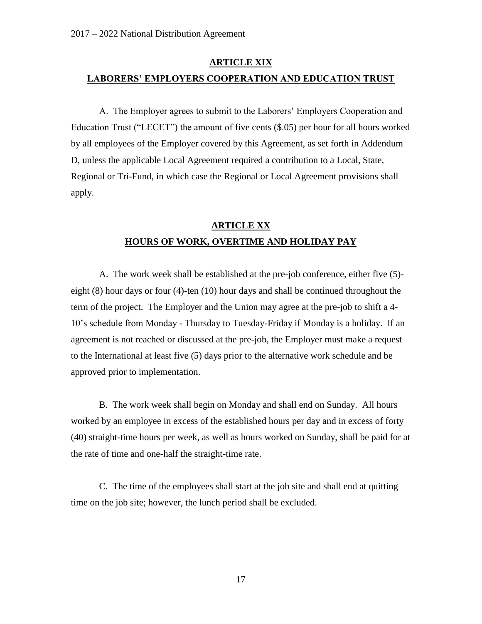# **ARTICLE XIX LABORERS' EMPLOYERS COOPERATION AND EDUCATION TRUST**

A. The Employer agrees to submit to the Laborers' Employers Cooperation and Education Trust ("LECET") the amount of five cents (\$.05) per hour for all hours worked by all employees of the Employer covered by this Agreement, as set forth in Addendum D, unless the applicable Local Agreement required a contribution to a Local, State, Regional or Tri-Fund, in which case the Regional or Local Agreement provisions shall apply.

# **ARTICLE XX HOURS OF WORK, OVERTIME AND HOLIDAY PAY**

A. The work week shall be established at the pre-job conference, either five (5) eight (8) hour days or four (4)-ten (10) hour days and shall be continued throughout the term of the project. The Employer and the Union may agree at the pre-job to shift a 4- 10's schedule from Monday - Thursday to Tuesday-Friday if Monday is a holiday. If an agreement is not reached or discussed at the pre-job, the Employer must make a request to the International at least five (5) days prior to the alternative work schedule and be approved prior to implementation.

B. The work week shall begin on Monday and shall end on Sunday. All hours worked by an employee in excess of the established hours per day and in excess of forty (40) straight-time hours per week, as well as hours worked on Sunday, shall be paid for at the rate of time and one-half the straight-time rate.

C. The time of the employees shall start at the job site and shall end at quitting time on the job site; however, the lunch period shall be excluded.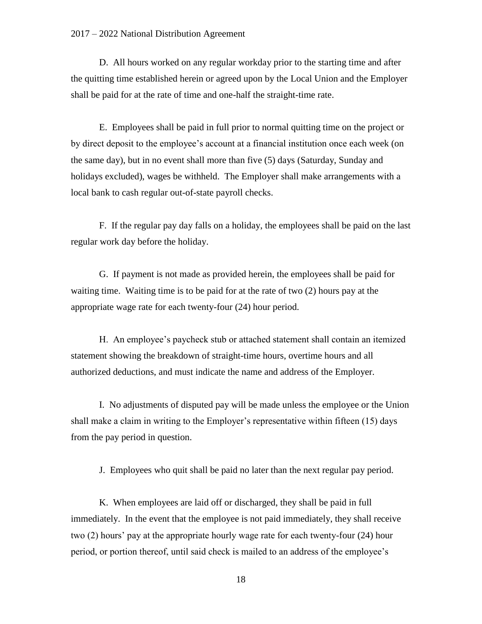#### 2017 – 2022 National Distribution Agreement

D. All hours worked on any regular workday prior to the starting time and after the quitting time established herein or agreed upon by the Local Union and the Employer shall be paid for at the rate of time and one-half the straight-time rate.

E. Employees shall be paid in full prior to normal quitting time on the project or by direct deposit to the employee's account at a financial institution once each week (on the same day), but in no event shall more than five (5) days (Saturday, Sunday and holidays excluded), wages be withheld. The Employer shall make arrangements with a local bank to cash regular out-of-state payroll checks.

F. If the regular pay day falls on a holiday, the employees shall be paid on the last regular work day before the holiday.

G. If payment is not made as provided herein, the employees shall be paid for waiting time. Waiting time is to be paid for at the rate of two (2) hours pay at the appropriate wage rate for each twenty-four (24) hour period.

H. An employee's paycheck stub or attached statement shall contain an itemized statement showing the breakdown of straight-time hours, overtime hours and all authorized deductions, and must indicate the name and address of the Employer.

I. No adjustments of disputed pay will be made unless the employee or the Union shall make a claim in writing to the Employer's representative within fifteen (15) days from the pay period in question.

J. Employees who quit shall be paid no later than the next regular pay period.

K. When employees are laid off or discharged, they shall be paid in full immediately. In the event that the employee is not paid immediately, they shall receive two (2) hours' pay at the appropriate hourly wage rate for each twenty-four (24) hour period, or portion thereof, until said check is mailed to an address of the employee's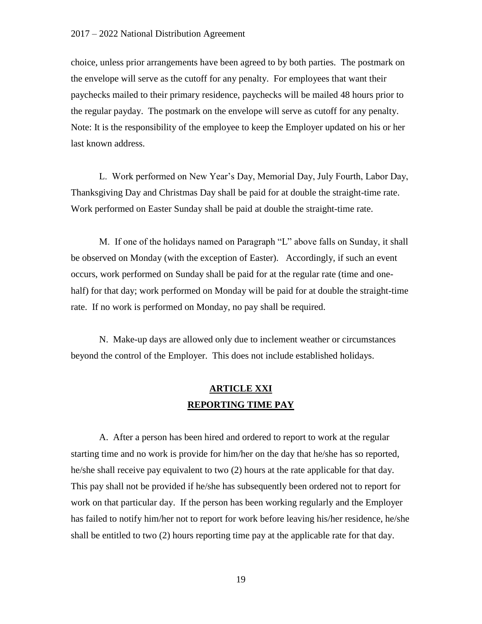choice, unless prior arrangements have been agreed to by both parties. The postmark on the envelope will serve as the cutoff for any penalty. For employees that want their paychecks mailed to their primary residence, paychecks will be mailed 48 hours prior to the regular payday. The postmark on the envelope will serve as cutoff for any penalty. Note: It is the responsibility of the employee to keep the Employer updated on his or her last known address.

L. Work performed on New Year's Day, Memorial Day, July Fourth, Labor Day, Thanksgiving Day and Christmas Day shall be paid for at double the straight-time rate. Work performed on Easter Sunday shall be paid at double the straight-time rate.

M. If one of the holidays named on Paragraph "L" above falls on Sunday, it shall be observed on Monday (with the exception of Easter). Accordingly, if such an event occurs, work performed on Sunday shall be paid for at the regular rate (time and onehalf) for that day; work performed on Monday will be paid for at double the straight-time rate. If no work is performed on Monday, no pay shall be required.

N. Make-up days are allowed only due to inclement weather or circumstances beyond the control of the Employer. This does not include established holidays.

## **ARTICLE XXI REPORTING TIME PAY**

A. After a person has been hired and ordered to report to work at the regular starting time and no work is provide for him/her on the day that he/she has so reported, he/she shall receive pay equivalent to two (2) hours at the rate applicable for that day. This pay shall not be provided if he/she has subsequently been ordered not to report for work on that particular day. If the person has been working regularly and the Employer has failed to notify him/her not to report for work before leaving his/her residence, he/she shall be entitled to two (2) hours reporting time pay at the applicable rate for that day.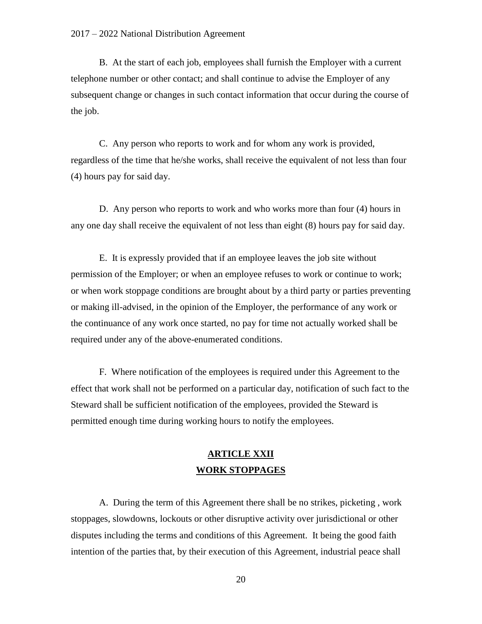#### 2017 – 2022 National Distribution Agreement

B. At the start of each job, employees shall furnish the Employer with a current telephone number or other contact; and shall continue to advise the Employer of any subsequent change or changes in such contact information that occur during the course of the job.

C. Any person who reports to work and for whom any work is provided, regardless of the time that he/she works, shall receive the equivalent of not less than four (4) hours pay for said day.

D. Any person who reports to work and who works more than four (4) hours in any one day shall receive the equivalent of not less than eight (8) hours pay for said day.

E. It is expressly provided that if an employee leaves the job site without permission of the Employer; or when an employee refuses to work or continue to work; or when work stoppage conditions are brought about by a third party or parties preventing or making ill-advised, in the opinion of the Employer, the performance of any work or the continuance of any work once started, no pay for time not actually worked shall be required under any of the above-enumerated conditions.

F. Where notification of the employees is required under this Agreement to the effect that work shall not be performed on a particular day, notification of such fact to the Steward shall be sufficient notification of the employees, provided the Steward is permitted enough time during working hours to notify the employees.

## **ARTICLE XXII WORK STOPPAGES**

A. During the term of this Agreement there shall be no strikes, picketing , work stoppages, slowdowns, lockouts or other disruptive activity over jurisdictional or other disputes including the terms and conditions of this Agreement. It being the good faith intention of the parties that, by their execution of this Agreement, industrial peace shall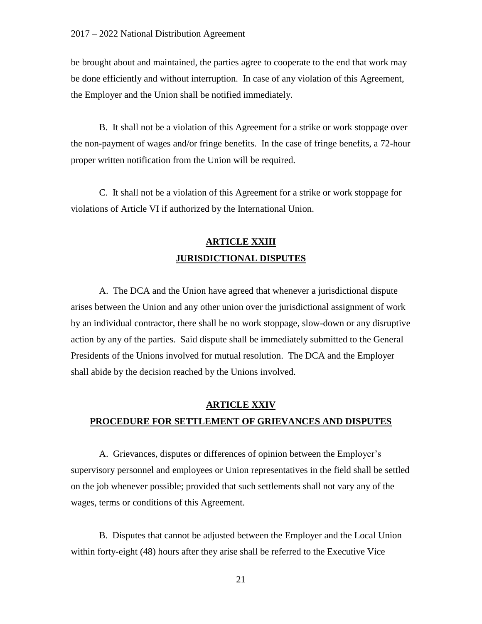be brought about and maintained, the parties agree to cooperate to the end that work may be done efficiently and without interruption. In case of any violation of this Agreement, the Employer and the Union shall be notified immediately.

B. It shall not be a violation of this Agreement for a strike or work stoppage over the non-payment of wages and/or fringe benefits. In the case of fringe benefits, a 72-hour proper written notification from the Union will be required.

C. It shall not be a violation of this Agreement for a strike or work stoppage for violations of Article VI if authorized by the International Union.

# **ARTICLE XXIII JURISDICTIONAL DISPUTES**

A. The DCA and the Union have agreed that whenever a jurisdictional dispute arises between the Union and any other union over the jurisdictional assignment of work by an individual contractor, there shall be no work stoppage, slow-down or any disruptive action by any of the parties. Said dispute shall be immediately submitted to the General Presidents of the Unions involved for mutual resolution. The DCA and the Employer shall abide by the decision reached by the Unions involved.

# **ARTICLE XXIV PROCEDURE FOR SETTLEMENT OF GRIEVANCES AND DISPUTES**

A. Grievances, disputes or differences of opinion between the Employer's supervisory personnel and employees or Union representatives in the field shall be settled on the job whenever possible; provided that such settlements shall not vary any of the wages, terms or conditions of this Agreement.

B. Disputes that cannot be adjusted between the Employer and the Local Union within forty-eight (48) hours after they arise shall be referred to the Executive Vice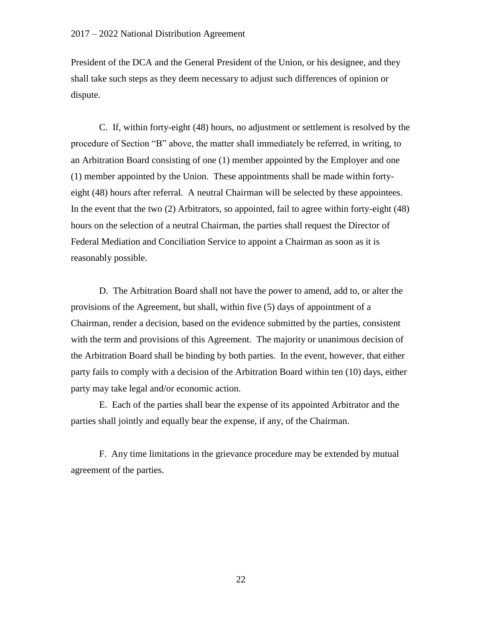President of the DCA and the General President of the Union, or his designee, and they shall take such steps as they deem necessary to adjust such differences of opinion or dispute.

C. If, within forty-eight (48) hours, no adjustment or settlement is resolved by the procedure of Section "B" above, the matter shall immediately be referred, in writing, to an Arbitration Board consisting of one (1) member appointed by the Employer and one (1) member appointed by the Union. These appointments shall be made within fortyeight (48) hours after referral. A neutral Chairman will be selected by these appointees. In the event that the two (2) Arbitrators, so appointed, fail to agree within forty-eight (48) hours on the selection of a neutral Chairman, the parties shall request the Director of Federal Mediation and Conciliation Service to appoint a Chairman as soon as it is reasonably possible.

D. The Arbitration Board shall not have the power to amend, add to, or alter the provisions of the Agreement, but shall, within five (5) days of appointment of a Chairman, render a decision, based on the evidence submitted by the parties, consistent with the term and provisions of this Agreement. The majority or unanimous decision of the Arbitration Board shall be binding by both parties. In the event, however, that either party fails to comply with a decision of the Arbitration Board within ten (10) days, either party may take legal and/or economic action.

E. Each of the parties shall bear the expense of its appointed Arbitrator and the parties shall jointly and equally bear the expense, if any, of the Chairman.

F. Any time limitations in the grievance procedure may be extended by mutual agreement of the parties.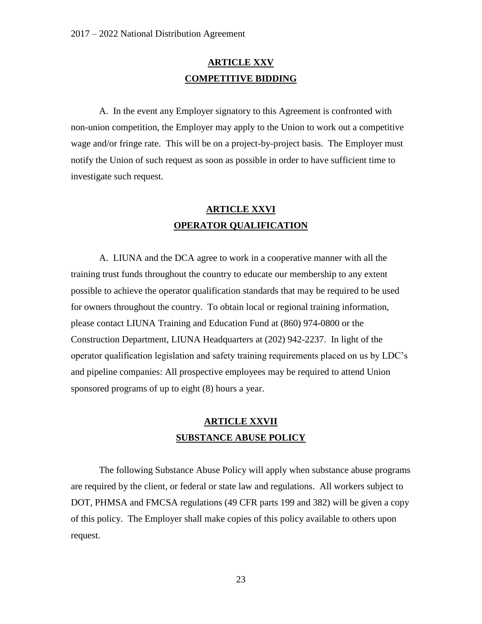## **ARTICLE XXV COMPETITIVE BIDDING**

A. In the event any Employer signatory to this Agreement is confronted with non-union competition, the Employer may apply to the Union to work out a competitive wage and/or fringe rate. This will be on a project-by-project basis. The Employer must notify the Union of such request as soon as possible in order to have sufficient time to investigate such request.

# **ARTICLE XXVI OPERATOR QUALIFICATION**

A. LIUNA and the DCA agree to work in a cooperative manner with all the training trust funds throughout the country to educate our membership to any extent possible to achieve the operator qualification standards that may be required to be used for owners throughout the country. To obtain local or regional training information, please contact LIUNA Training and Education Fund at (860) 974-0800 or the Construction Department, LIUNA Headquarters at (202) 942-2237. In light of the operator qualification legislation and safety training requirements placed on us by LDC's and pipeline companies: All prospective employees may be required to attend Union sponsored programs of up to eight (8) hours a year.

# **ARTICLE XXVII SUBSTANCE ABUSE POLICY**

The following Substance Abuse Policy will apply when substance abuse programs are required by the client, or federal or state law and regulations. All workers subject to DOT, PHMSA and FMCSA regulations (49 CFR parts 199 and 382) will be given a copy of this policy. The Employer shall make copies of this policy available to others upon request.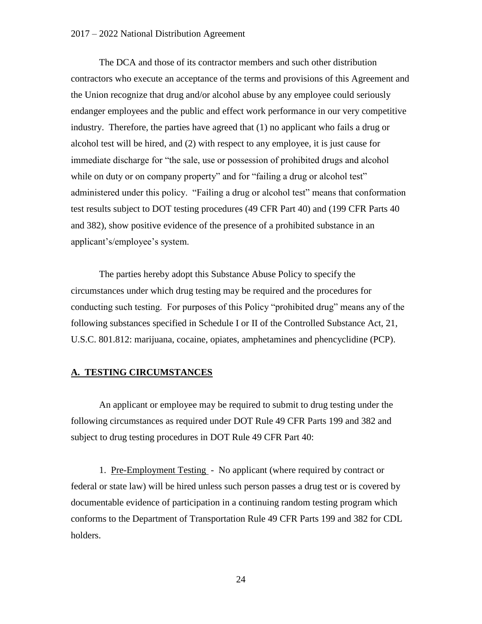#### 2017 – 2022 National Distribution Agreement

The DCA and those of its contractor members and such other distribution contractors who execute an acceptance of the terms and provisions of this Agreement and the Union recognize that drug and/or alcohol abuse by any employee could seriously endanger employees and the public and effect work performance in our very competitive industry. Therefore, the parties have agreed that (1) no applicant who fails a drug or alcohol test will be hired, and (2) with respect to any employee, it is just cause for immediate discharge for "the sale, use or possession of prohibited drugs and alcohol while on duty or on company property" and for "failing a drug or alcohol test" administered under this policy. "Failing a drug or alcohol test" means that conformation test results subject to DOT testing procedures (49 CFR Part 40) and (199 CFR Parts 40 and 382), show positive evidence of the presence of a prohibited substance in an applicant's/employee's system.

The parties hereby adopt this Substance Abuse Policy to specify the circumstances under which drug testing may be required and the procedures for conducting such testing. For purposes of this Policy "prohibited drug" means any of the following substances specified in Schedule I or II of the Controlled Substance Act, 21, U.S.C. 801.812: marijuana, cocaine, opiates, amphetamines and phencyclidine (PCP).

### **A. TESTING CIRCUMSTANCES**

An applicant or employee may be required to submit to drug testing under the following circumstances as required under DOT Rule 49 CFR Parts 199 and 382 and subject to drug testing procedures in DOT Rule 49 CFR Part 40:

1. Pre-Employment Testing - No applicant (where required by contract or federal or state law) will be hired unless such person passes a drug test or is covered by documentable evidence of participation in a continuing random testing program which conforms to the Department of Transportation Rule 49 CFR Parts 199 and 382 for CDL holders.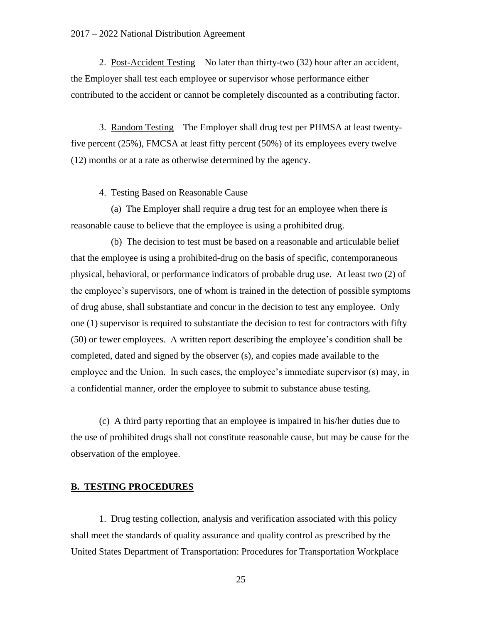#### 2017 – 2022 National Distribution Agreement

2. Post-Accident Testing – No later than thirty-two (32) hour after an accident, the Employer shall test each employee or supervisor whose performance either contributed to the accident or cannot be completely discounted as a contributing factor.

3. Random Testing – The Employer shall drug test per PHMSA at least twentyfive percent (25%), FMCSA at least fifty percent (50%) of its employees every twelve (12) months or at a rate as otherwise determined by the agency.

### 4. Testing Based on Reasonable Cause

 (a) The Employer shall require a drug test for an employee when there is reasonable cause to believe that the employee is using a prohibited drug.

 (b) The decision to test must be based on a reasonable and articulable belief that the employee is using a prohibited-drug on the basis of specific, contemporaneous physical, behavioral, or performance indicators of probable drug use. At least two (2) of the employee's supervisors, one of whom is trained in the detection of possible symptoms of drug abuse, shall substantiate and concur in the decision to test any employee. Only one (1) supervisor is required to substantiate the decision to test for contractors with fifty (50) or fewer employees. A written report describing the employee's condition shall be completed, dated and signed by the observer (s), and copies made available to the employee and the Union. In such cases, the employee's immediate supervisor (s) may, in a confidential manner, order the employee to submit to substance abuse testing.

(c) A third party reporting that an employee is impaired in his/her duties due to the use of prohibited drugs shall not constitute reasonable cause, but may be cause for the observation of the employee.

### **B. TESTING PROCEDURES**

1. Drug testing collection, analysis and verification associated with this policy shall meet the standards of quality assurance and quality control as prescribed by the United States Department of Transportation: Procedures for Transportation Workplace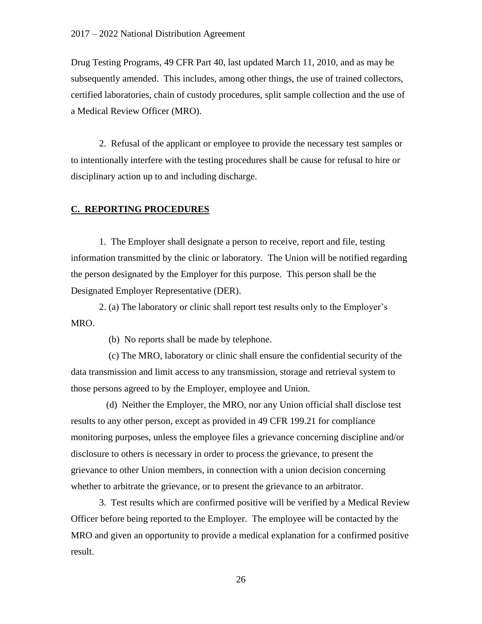Drug Testing Programs, 49 CFR Part 40, last updated March 11, 2010, and as may be subsequently amended. This includes, among other things, the use of trained collectors, certified laboratories, chain of custody procedures, split sample collection and the use of a Medical Review Officer (MRO).

2. Refusal of the applicant or employee to provide the necessary test samples or to intentionally interfere with the testing procedures shall be cause for refusal to hire or disciplinary action up to and including discharge.

### **C. REPORTING PROCEDURES**

1. The Employer shall designate a person to receive, report and file, testing information transmitted by the clinic or laboratory. The Union will be notified regarding the person designated by the Employer for this purpose. This person shall be the Designated Employer Representative (DER).

2. (a) The laboratory or clinic shall report test results only to the Employer's MRO.

(b) No reports shall be made by telephone.

 (c) The MRO, laboratory or clinic shall ensure the confidential security of the data transmission and limit access to any transmission, storage and retrieval system to those persons agreed to by the Employer, employee and Union.

 (d) Neither the Employer, the MRO, nor any Union official shall disclose test results to any other person, except as provided in 49 CFR 199.21 for compliance monitoring purposes, unless the employee files a grievance concerning discipline and/or disclosure to others is necessary in order to process the grievance, to present the grievance to other Union members, in connection with a union decision concerning whether to arbitrate the grievance, or to present the grievance to an arbitrator.

3. Test results which are confirmed positive will be verified by a Medical Review Officer before being reported to the Employer. The employee will be contacted by the MRO and given an opportunity to provide a medical explanation for a confirmed positive result.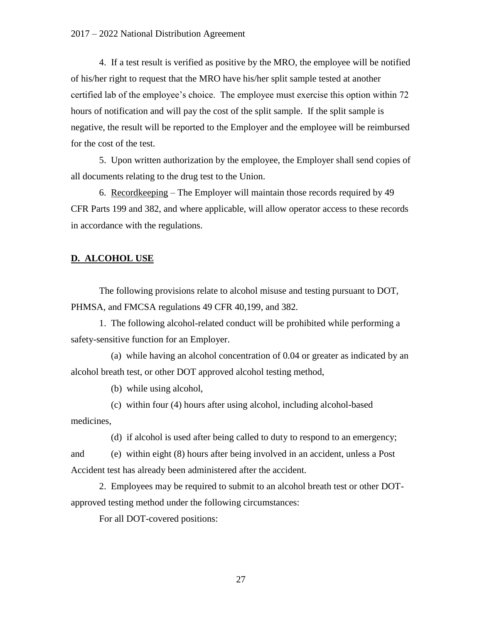4. If a test result is verified as positive by the MRO, the employee will be notified of his/her right to request that the MRO have his/her split sample tested at another certified lab of the employee's choice. The employee must exercise this option within 72 hours of notification and will pay the cost of the split sample. If the split sample is negative, the result will be reported to the Employer and the employee will be reimbursed for the cost of the test.

5. Upon written authorization by the employee, the Employer shall send copies of all documents relating to the drug test to the Union.

6. Recordkeeping – The Employer will maintain those records required by 49 CFR Parts 199 and 382, and where applicable, will allow operator access to these records in accordance with the regulations.

### **D. ALCOHOL USE**

The following provisions relate to alcohol misuse and testing pursuant to DOT, PHMSA, and FMCSA regulations 49 CFR 40,199, and 382.

1. The following alcohol-related conduct will be prohibited while performing a safety-sensitive function for an Employer.

 (a) while having an alcohol concentration of 0.04 or greater as indicated by an alcohol breath test, or other DOT approved alcohol testing method,

(b) while using alcohol,

 (c) within four (4) hours after using alcohol, including alcohol-based medicines,

(d) if alcohol is used after being called to duty to respond to an emergency;

and (e) within eight (8) hours after being involved in an accident, unless a Post Accident test has already been administered after the accident.

2. Employees may be required to submit to an alcohol breath test or other DOTapproved testing method under the following circumstances:

For all DOT-covered positions: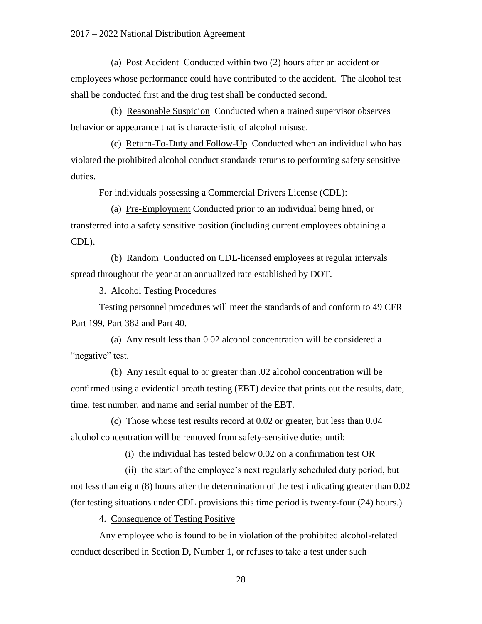(a) Post Accident Conducted within two (2) hours after an accident or employees whose performance could have contributed to the accident. The alcohol test shall be conducted first and the drug test shall be conducted second.

 (b) Reasonable Suspicion Conducted when a trained supervisor observes behavior or appearance that is characteristic of alcohol misuse.

 (c) Return-To-Duty and Follow-Up Conducted when an individual who has violated the prohibited alcohol conduct standards returns to performing safety sensitive duties.

For individuals possessing a Commercial Drivers License (CDL):

 (a) Pre-Employment Conducted prior to an individual being hired, or transferred into a safety sensitive position (including current employees obtaining a CDL).

 (b) Random Conducted on CDL-licensed employees at regular intervals spread throughout the year at an annualized rate established by DOT.

3. Alcohol Testing Procedures

Testing personnel procedures will meet the standards of and conform to 49 CFR Part 199, Part 382 and Part 40.

 (a) Any result less than 0.02 alcohol concentration will be considered a "negative" test.

 (b) Any result equal to or greater than .02 alcohol concentration will be confirmed using a evidential breath testing (EBT) device that prints out the results, date, time, test number, and name and serial number of the EBT.

 (c) Those whose test results record at 0.02 or greater, but less than 0.04 alcohol concentration will be removed from safety-sensitive duties until:

(i) the individual has tested below 0.02 on a confirmation test OR

 (ii) the start of the employee's next regularly scheduled duty period, but not less than eight (8) hours after the determination of the test indicating greater than 0.02 (for testing situations under CDL provisions this time period is twenty-four (24) hours.)

4. Consequence of Testing Positive

Any employee who is found to be in violation of the prohibited alcohol-related conduct described in Section D, Number 1, or refuses to take a test under such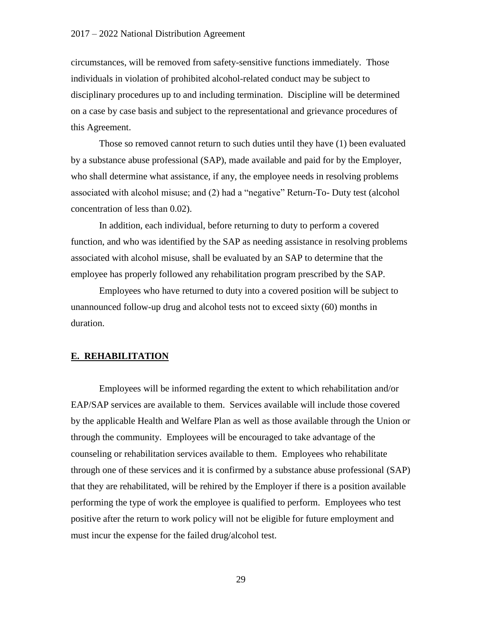circumstances, will be removed from safety-sensitive functions immediately. Those individuals in violation of prohibited alcohol-related conduct may be subject to disciplinary procedures up to and including termination. Discipline will be determined on a case by case basis and subject to the representational and grievance procedures of this Agreement.

Those so removed cannot return to such duties until they have (1) been evaluated by a substance abuse professional (SAP), made available and paid for by the Employer, who shall determine what assistance, if any, the employee needs in resolving problems associated with alcohol misuse; and (2) had a "negative" Return-To- Duty test (alcohol concentration of less than 0.02).

In addition, each individual, before returning to duty to perform a covered function, and who was identified by the SAP as needing assistance in resolving problems associated with alcohol misuse, shall be evaluated by an SAP to determine that the employee has properly followed any rehabilitation program prescribed by the SAP.

Employees who have returned to duty into a covered position will be subject to unannounced follow-up drug and alcohol tests not to exceed sixty (60) months in duration.

### **E. REHABILITATION**

Employees will be informed regarding the extent to which rehabilitation and/or EAP/SAP services are available to them. Services available will include those covered by the applicable Health and Welfare Plan as well as those available through the Union or through the community. Employees will be encouraged to take advantage of the counseling or rehabilitation services available to them. Employees who rehabilitate through one of these services and it is confirmed by a substance abuse professional (SAP) that they are rehabilitated, will be rehired by the Employer if there is a position available performing the type of work the employee is qualified to perform. Employees who test positive after the return to work policy will not be eligible for future employment and must incur the expense for the failed drug/alcohol test.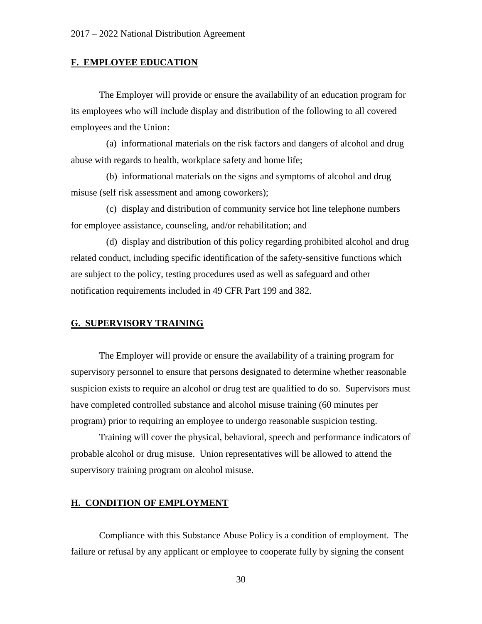### **F. EMPLOYEE EDUCATION**

The Employer will provide or ensure the availability of an education program for its employees who will include display and distribution of the following to all covered employees and the Union:

 (a) informational materials on the risk factors and dangers of alcohol and drug abuse with regards to health, workplace safety and home life;

 (b) informational materials on the signs and symptoms of alcohol and drug misuse (self risk assessment and among coworkers);

 (c) display and distribution of community service hot line telephone numbers for employee assistance, counseling, and/or rehabilitation; and

 (d) display and distribution of this policy regarding prohibited alcohol and drug related conduct, including specific identification of the safety-sensitive functions which are subject to the policy, testing procedures used as well as safeguard and other notification requirements included in 49 CFR Part 199 and 382.

### **G. SUPERVISORY TRAINING**

The Employer will provide or ensure the availability of a training program for supervisory personnel to ensure that persons designated to determine whether reasonable suspicion exists to require an alcohol or drug test are qualified to do so. Supervisors must have completed controlled substance and alcohol misuse training (60 minutes per program) prior to requiring an employee to undergo reasonable suspicion testing.

Training will cover the physical, behavioral, speech and performance indicators of probable alcohol or drug misuse. Union representatives will be allowed to attend the supervisory training program on alcohol misuse.

### **H. CONDITION OF EMPLOYMENT**

Compliance with this Substance Abuse Policy is a condition of employment. The failure or refusal by any applicant or employee to cooperate fully by signing the consent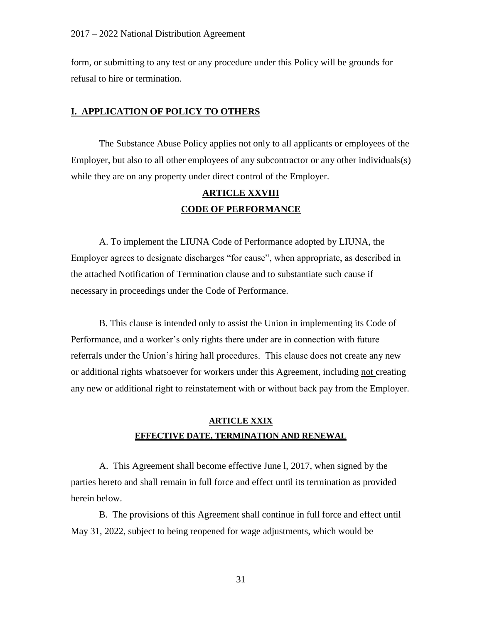form, or submitting to any test or any procedure under this Policy will be grounds for refusal to hire or termination.

### **I. APPLICATION OF POLICY TO OTHERS**

The Substance Abuse Policy applies not only to all applicants or employees of the Employer, but also to all other employees of any subcontractor or any other individuals(s) while they are on any property under direct control of the Employer.

## **ARTICLE XXVIII CODE OF PERFORMANCE**

A. To implement the LIUNA Code of Performance adopted by LIUNA, the Employer agrees to designate discharges "for cause", when appropriate, as described in the attached Notification of Termination clause and to substantiate such cause if necessary in proceedings under the Code of Performance.

B. This clause is intended only to assist the Union in implementing its Code of Performance, and a worker's only rights there under are in connection with future referrals under the Union's hiring hall procedures. This clause does not create any new or additional rights whatsoever for workers under this Agreement, including not creating any new or additional right to reinstatement with or without back pay from the Employer.

## **ARTICLE XXIX EFFECTIVE DATE, TERMINATION AND RENEWAL**

A. This Agreement shall become effective June l, 2017, when signed by the parties hereto and shall remain in full force and effect until its termination as provided herein below.

B. The provisions of this Agreement shall continue in full force and effect until May 31, 2022, subject to being reopened for wage adjustments, which would be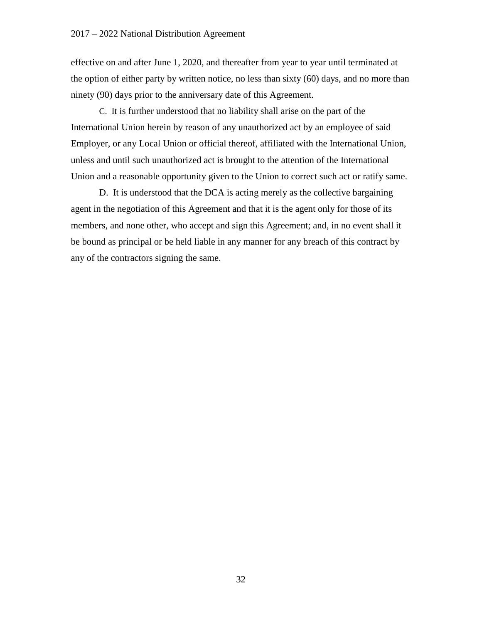effective on and after June 1, 2020, and thereafter from year to year until terminated at the option of either party by written notice, no less than sixty (60) days, and no more than ninety (90) days prior to the anniversary date of this Agreement.

C. It is further understood that no liability shall arise on the part of the International Union herein by reason of any unauthorized act by an employee of said Employer, or any Local Union or official thereof, affiliated with the International Union, unless and until such unauthorized act is brought to the attention of the International Union and a reasonable opportunity given to the Union to correct such act or ratify same.

D. It is understood that the DCA is acting merely as the collective bargaining agent in the negotiation of this Agreement and that it is the agent only for those of its members, and none other, who accept and sign this Agreement; and, in no event shall it be bound as principal or be held liable in any manner for any breach of this contract by any of the contractors signing the same.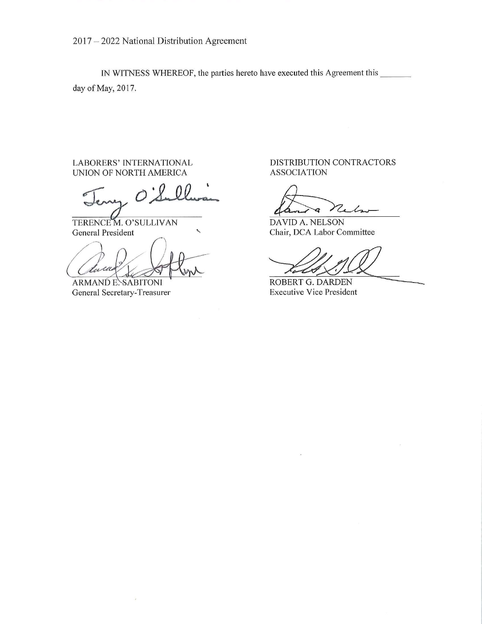2017 - 2022 National Distribution Agreement

IN WITNESS WHEREOF, the parties hereto have executed this Agreement this day of May, 2017.

LABORERS' INTERNATIONAL UNION OF NORTH AMERICA

TERENCE M. O'SULLIVAN General President

turu

â

**ARMANDE. SABITONI** General Secretary-Treasurer

DISTRIBUTION CONTRACTORS **ASSOCIATION** 

**DAVID A. NELSON** Chair, DCA Labor Committee

ROBERT G. DARDEN **Executive Vice President**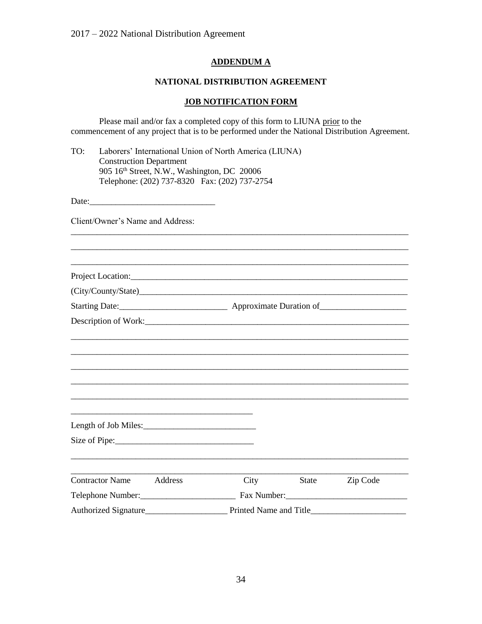## **ADDENDUM A**

### **NATIONAL DISTRIBUTION AGREEMENT**

## **JOB NOTIFICATION FORM**

Please mail and/or fax a completed copy of this form to LIUNA prior to the commencement of any project that is to be performed under the National Distribution Agreement.

| TO: | Laborers' International Union of North America (LIUNA) |
|-----|--------------------------------------------------------|
|     | <b>Construction Department</b>                         |
|     | 905 16th Street, N.W., Washington, DC 20006            |
|     | Telephone: (202) 737-8320 Fax: (202) 737-2754          |

Date:\_\_\_\_\_\_\_\_\_\_\_\_\_\_\_\_\_\_\_\_\_\_\_\_\_\_\_\_\_

Client/Owner's Name and Address:

| Project Location:                 |      |                        |          |  |
|-----------------------------------|------|------------------------|----------|--|
|                                   |      |                        |          |  |
|                                   |      |                        |          |  |
|                                   |      |                        |          |  |
|                                   |      |                        |          |  |
|                                   |      |                        |          |  |
|                                   |      |                        |          |  |
|                                   |      |                        |          |  |
|                                   |      |                        |          |  |
|                                   |      |                        |          |  |
|                                   |      |                        |          |  |
|                                   |      |                        |          |  |
|                                   |      |                        |          |  |
| <b>Contractor Name</b><br>Address | City | <b>State</b>           | Zip Code |  |
| Telephone Number:<br><u> </u>     |      |                        |          |  |
| Authorized Signature              |      | Printed Name and Title |          |  |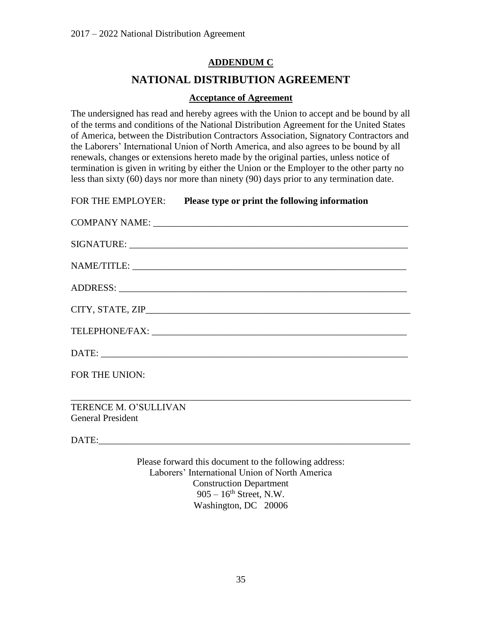## **ADDENDUM C**

## **NATIONAL DISTRIBUTION AGREEMENT**

### **Acceptance of Agreement**

The undersigned has read and hereby agrees with the Union to accept and be bound by all of the terms and conditions of the National Distribution Agreement for the United States of America, between the Distribution Contractors Association, Signatory Contractors and the Laborers' International Union of North America, and also agrees to be bound by all renewals, changes or extensions hereto made by the original parties, unless notice of termination is given in writing by either the Union or the Employer to the other party no less than sixty (60) days nor more than ninety (90) days prior to any termination date.

|                          | FOR THE EMPLOYER: Please type or print the following information |
|--------------------------|------------------------------------------------------------------|
|                          |                                                                  |
|                          |                                                                  |
|                          |                                                                  |
|                          |                                                                  |
|                          |                                                                  |
|                          |                                                                  |
|                          |                                                                  |
| FOR THE UNION:           |                                                                  |
|                          |                                                                  |
| TERENCE M. O'SULLIVAN    |                                                                  |
| <b>General President</b> |                                                                  |

DATE:

Please forward this document to the following address: Laborers' International Union of North America Construction Department  $905 - 16$ <sup>th</sup> Street, N.W. Washington, DC 20006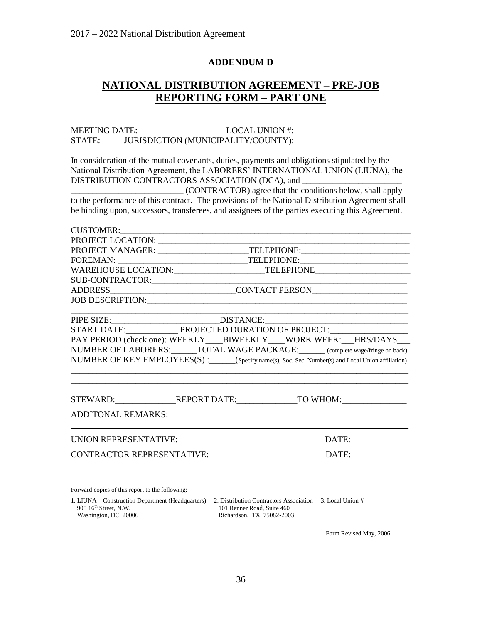### **ADDENDUM D**

# **NATIONAL DISTRIBUTION AGREEMENT – PRE-JOB REPORTING FORM – PART ONE**

MEETING DATE: LOCAL UNION #: STATE:\_\_\_\_\_\_ JURISDICTION (MUNICIPALITY/COUNTY):\_\_\_\_\_\_\_\_\_\_\_\_\_\_\_\_\_\_\_\_\_\_\_\_\_\_\_\_\_\_\_\_

In consideration of the mutual covenants, duties, payments and obligations stipulated by the National Distribution Agreement, the LABORERS' INTERNATIONAL UNION (LIUNA), the DISTRIBUTION CONTRACTORS ASSOCIATION (DCA), and \_\_\_\_\_\_\_\_\_\_\_\_\_\_\_\_\_\_\_\_\_\_\_\_\_\_\_\_\_\_\_\_

\_\_\_\_\_\_\_\_\_\_\_\_\_\_\_\_\_\_\_\_\_\_\_\_\_\_ (CONTRACTOR) agree that the conditions below, shall apply to the performance of this contract. The provisions of the National Distribution Agreement shall be binding upon, successors, transferees, and assignees of the parties executing this Agreement.

| CUSTOMER:                                                                        |  |                                                                                                      |  |
|----------------------------------------------------------------------------------|--|------------------------------------------------------------------------------------------------------|--|
|                                                                                  |  |                                                                                                      |  |
|                                                                                  |  |                                                                                                      |  |
|                                                                                  |  |                                                                                                      |  |
|                                                                                  |  |                                                                                                      |  |
|                                                                                  |  |                                                                                                      |  |
| ADDRESS_________________________________CONTACT PERSON__________________________ |  |                                                                                                      |  |
|                                                                                  |  |                                                                                                      |  |
|                                                                                  |  | PIPE SIZE: _______________________________DISTANCE: _____________________________                    |  |
|                                                                                  |  |                                                                                                      |  |
|                                                                                  |  | PAY PERIOD (check one): WEEKLY BIWEEKLY WORK WEEK: HRS/DAYS                                          |  |
|                                                                                  |  | NUMBER OF LABORERS: ______TOTAL WAGE PACKAGE: _______ (complete wage/fringe on back)                 |  |
|                                                                                  |  | NUMBER OF KEY EMPLOYEES(S) : _____(Specify name(s), Soc. Sec. Number(s) and Local Union affiliation) |  |
|                                                                                  |  |                                                                                                      |  |
|                                                                                  |  | STEWARD:____________________REPORT DATE:__________________TO WHOM:_______________                    |  |
|                                                                                  |  |                                                                                                      |  |
|                                                                                  |  | $\overline{\text{DATE}}$ :                                                                           |  |
| CONTRACTOR REPRESENTATIVE:                                                       |  | DATE:                                                                                                |  |

Forward copies of this report to the following:

1. LIUNA – Construction Department (Headquarters) 2. Distribution Contractors Association 3. Local Union #\_\_\_\_\_\_\_\_\_\_ 905 16<sup>th</sup> Street, N.W. 101 Renner Road, Suite 460<br>Washington, DC 20006 Richardson, TX 75082-200. Richardson, TX 75082-2003

Form Revised May, 2006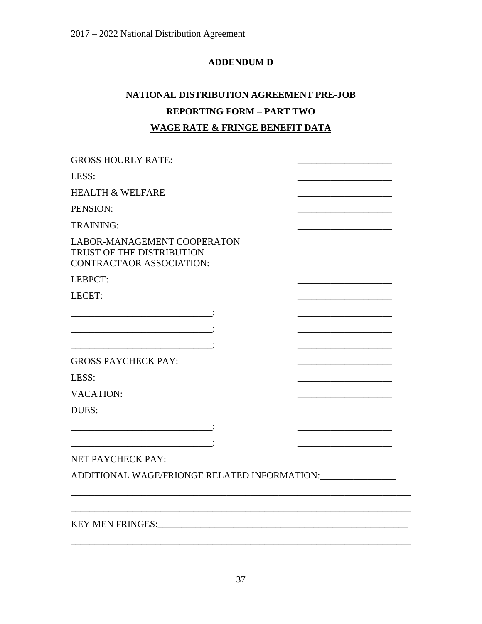## **ADDENDUM D**

# **NATIONAL DISTRIBUTION AGREEMENT PRE-JOB REPORTING FORM – PART TWO WAGE RATE & FRINGE BENEFIT DATA**

| <b>GROSS HOURLY RATE:</b>                                                            |  |  |  |  |  |  |
|--------------------------------------------------------------------------------------|--|--|--|--|--|--|
| LESS:                                                                                |  |  |  |  |  |  |
| <b>HEALTH &amp; WELFARE</b>                                                          |  |  |  |  |  |  |
| PENSION:                                                                             |  |  |  |  |  |  |
| <b>TRAINING:</b>                                                                     |  |  |  |  |  |  |
| LABOR-MANAGEMENT COOPERATON<br>TRUST OF THE DISTRIBUTION<br>CONTRACTAOR ASSOCIATION: |  |  |  |  |  |  |
| LEBPCT:                                                                              |  |  |  |  |  |  |
| LECET:                                                                               |  |  |  |  |  |  |
|                                                                                      |  |  |  |  |  |  |
|                                                                                      |  |  |  |  |  |  |
|                                                                                      |  |  |  |  |  |  |
| <b>GROSS PAYCHECK PAY:</b>                                                           |  |  |  |  |  |  |
| LESS:                                                                                |  |  |  |  |  |  |
| <b>VACATION:</b>                                                                     |  |  |  |  |  |  |
| DUES:                                                                                |  |  |  |  |  |  |
|                                                                                      |  |  |  |  |  |  |
|                                                                                      |  |  |  |  |  |  |
| NET PAYCHECK PAY:                                                                    |  |  |  |  |  |  |
| ADDITIONAL WAGE/FRIONGE RELATED INFORMATION: ________________                        |  |  |  |  |  |  |
|                                                                                      |  |  |  |  |  |  |
|                                                                                      |  |  |  |  |  |  |

\_\_\_\_\_\_\_\_\_\_\_\_\_\_\_\_\_\_\_\_\_\_\_\_\_\_\_\_\_\_\_\_\_\_\_\_\_\_\_\_\_\_\_\_\_\_\_\_\_\_\_\_\_\_\_\_\_\_\_\_\_\_\_\_\_\_\_\_\_\_\_\_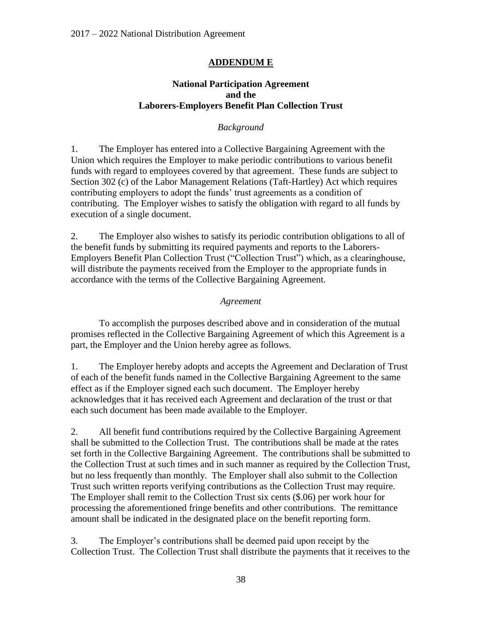## **ADDENDUM E**

### **National Participation Agreement and the Laborers-Employers Benefit Plan Collection Trust**

## *Background*

1. The Employer has entered into a Collective Bargaining Agreement with the Union which requires the Employer to make periodic contributions to various benefit funds with regard to employees covered by that agreement. These funds are subject to Section 302 (c) of the Labor Management Relations (Taft-Hartley) Act which requires contributing employers to adopt the funds' trust agreements as a condition of contributing. The Employer wishes to satisfy the obligation with regard to all funds by execution of a single document.

2. The Employer also wishes to satisfy its periodic contribution obligations to all of the benefit funds by submitting its required payments and reports to the Laborers-Employers Benefit Plan Collection Trust ("Collection Trust") which, as a clearinghouse, will distribute the payments received from the Employer to the appropriate funds in accordance with the terms of the Collective Bargaining Agreement.

### *Agreement*

To accomplish the purposes described above and in consideration of the mutual promises reflected in the Collective Bargaining Agreement of which this Agreement is a part, the Employer and the Union hereby agree as follows.

1. The Employer hereby adopts and accepts the Agreement and Declaration of Trust of each of the benefit funds named in the Collective Bargaining Agreement to the same effect as if the Employer signed each such document. The Employer hereby acknowledges that it has received each Agreement and declaration of the trust or that each such document has been made available to the Employer.

2. All benefit fund contributions required by the Collective Bargaining Agreement shall be submitted to the Collection Trust. The contributions shall be made at the rates set forth in the Collective Bargaining Agreement. The contributions shall be submitted to the Collection Trust at such times and in such manner as required by the Collection Trust, but no less frequently than monthly. The Employer shall also submit to the Collection Trust such written reports verifying contributions as the Collection Trust may require. The Employer shall remit to the Collection Trust six cents (\$.06) per work hour for processing the aforementioned fringe benefits and other contributions. The remittance amount shall be indicated in the designated place on the benefit reporting form.

3. The Employer's contributions shall be deemed paid upon receipt by the Collection Trust. The Collection Trust shall distribute the payments that it receives to the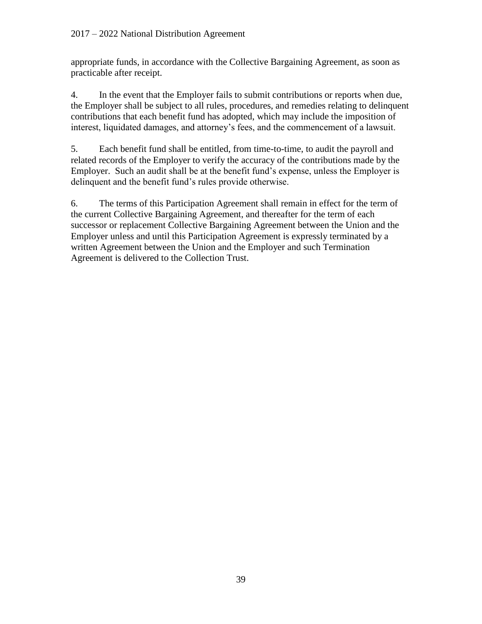appropriate funds, in accordance with the Collective Bargaining Agreement, as soon as practicable after receipt.

4. In the event that the Employer fails to submit contributions or reports when due, the Employer shall be subject to all rules, procedures, and remedies relating to delinquent contributions that each benefit fund has adopted, which may include the imposition of interest, liquidated damages, and attorney's fees, and the commencement of a lawsuit.

5. Each benefit fund shall be entitled, from time-to-time, to audit the payroll and related records of the Employer to verify the accuracy of the contributions made by the Employer. Such an audit shall be at the benefit fund's expense, unless the Employer is delinquent and the benefit fund's rules provide otherwise.

6. The terms of this Participation Agreement shall remain in effect for the term of the current Collective Bargaining Agreement, and thereafter for the term of each successor or replacement Collective Bargaining Agreement between the Union and the Employer unless and until this Participation Agreement is expressly terminated by a written Agreement between the Union and the Employer and such Termination Agreement is delivered to the Collection Trust.